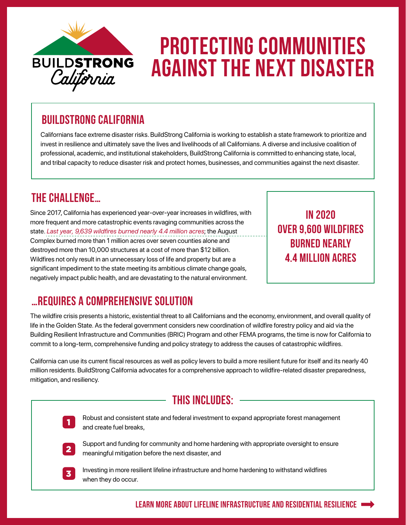

# Protecting communities against the next disaster

### BuildStrong California

Californians face extreme disaster risks. BuildStrong California is working to establish a state framework to prioritize and invest in resilience and ultimately save the lives and livelihoods of all Californians. A diverse and inclusive coalition of professional, academic, and institutional stakeholders, BuildStrong California is committed to enhancing state, local, and tribal capacity to reduce disaster risk and protect homes, businesses, and communities against the next disaster.

### The Challenge…

Since 2017, California has experienced year-over-year increases in wildfires, with more frequent and more catastrophic events ravaging communities across the state. *Last year, 9,639 wildfires burned nearly 4.4 million acres*; the August Complex burned more than 1 million acres over seven counties alone and destroyed more than 10,000 structures at a cost of more than \$12 billion. Wildfires not only result in an unnecessary loss of life and property but are a significant impediment to the state meeting its ambitious climate change goals, negatively impact public health, and are devastating to the natural environment.

In 2020 Over 9,600 wildfires **BURNED NEARLY** 4.4 million acres

## …Requires a Comprehensive Solution

The wildfire crisis presents a historic, existential threat to all Californians and the economy, environment, and overall quality of life in the Golden State. As the federal government considers new coordination of wildfire forestry policy and aid via the Building Resilient Infrastructure and Communities (BRIC) Program and other FEMA programs, the time is now for California to commit to a long-term, comprehensive funding and policy strategy to address the causes of catastrophic wildfires.

California can use its current fiscal resources as well as policy levers to build a more resilient future for itself and its nearly 40 million residents. BuildStrong California advocates for a comprehensive approach to wildfire-related disaster preparedness, mitigation, and resiliency.

#### This includes:



Robust and consistent state and federal investment to expand appropriate forest management and create fuel breaks, <sup>1</sup>



Support and funding for community and home hardening with appropriate oversight to ensure meaningful mitigation before the next disaster, and 2



Investing in more resilient lifeline infrastructure and home hardening to withstand wildfires when they do occur.